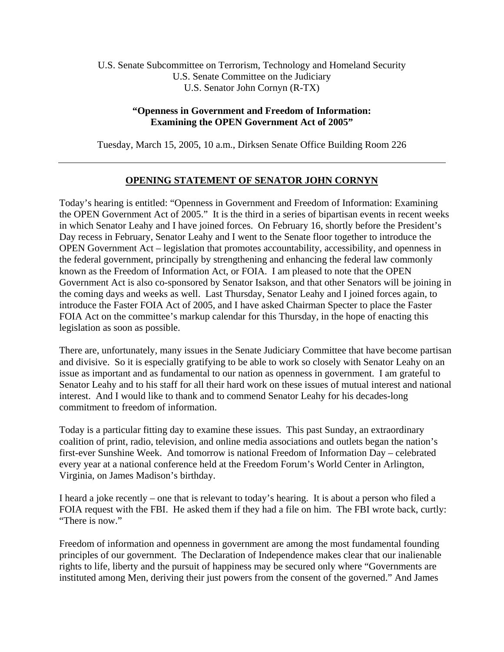## U.S. Senate Subcommittee on Terrorism, Technology and Homeland Security U.S. Senate Committee on the Judiciary U.S. Senator John Cornyn (R-TX)

## **"Openness in Government and Freedom of Information: Examining the OPEN Government Act of 2005"**

Tuesday, March 15, 2005, 10 a.m., Dirksen Senate Office Building Room 226

## **OPENING STATEMENT OF SENATOR JOHN CORNYN**

Today's hearing is entitled: "Openness in Government and Freedom of Information: Examining the OPEN Government Act of 2005." It is the third in a series of bipartisan events in recent weeks in which Senator Leahy and I have joined forces. On February 16, shortly before the President's Day recess in February, Senator Leahy and I went to the Senate floor together to introduce the OPEN Government Act – legislation that promotes accountability, accessibility, and openness in the federal government, principally by strengthening and enhancing the federal law commonly known as the Freedom of Information Act, or FOIA. I am pleased to note that the OPEN Government Act is also co-sponsored by Senator Isakson, and that other Senators will be joining in the coming days and weeks as well. Last Thursday, Senator Leahy and I joined forces again, to introduce the Faster FOIA Act of 2005, and I have asked Chairman Specter to place the Faster FOIA Act on the committee's markup calendar for this Thursday, in the hope of enacting this legislation as soon as possible.

There are, unfortunately, many issues in the Senate Judiciary Committee that have become partisan and divisive. So it is especially gratifying to be able to work so closely with Senator Leahy on an issue as important and as fundamental to our nation as openness in government. I am grateful to Senator Leahy and to his staff for all their hard work on these issues of mutual interest and national interest. And I would like to thank and to commend Senator Leahy for his decades-long commitment to freedom of information.

Today is a particular fitting day to examine these issues. This past Sunday, an extraordinary coalition of print, radio, television, and online media associations and outlets began the nation's first-ever Sunshine Week. And tomorrow is national Freedom of Information Day – celebrated every year at a national conference held at the Freedom Forum's World Center in Arlington, Virginia, on James Madison's birthday.

I heard a joke recently – one that is relevant to today's hearing. It is about a person who filed a FOIA request with the FBI. He asked them if they had a file on him. The FBI wrote back, curtly: "There is now."

Freedom of information and openness in government are among the most fundamental founding principles of our government. The Declaration of Independence makes clear that our inalienable rights to life, liberty and the pursuit of happiness may be secured only where "Governments are instituted among Men, deriving their just powers from the consent of the governed." And James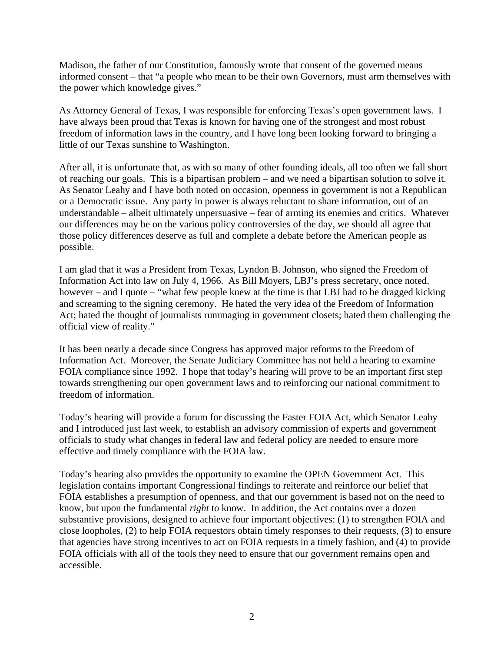Madison, the father of our Constitution, famously wrote that consent of the governed means informed consent – that "a people who mean to be their own Governors, must arm themselves with the power which knowledge gives."

As Attorney General of Texas, I was responsible for enforcing Texas's open government laws. I have always been proud that Texas is known for having one of the strongest and most robust freedom of information laws in the country, and I have long been looking forward to bringing a little of our Texas sunshine to Washington.

After all, it is unfortunate that, as with so many of other founding ideals, all too often we fall short of reaching our goals. This is a bipartisan problem – and we need a bipartisan solution to solve it. As Senator Leahy and I have both noted on occasion, openness in government is not a Republican or a Democratic issue. Any party in power is always reluctant to share information, out of an understandable – albeit ultimately unpersuasive – fear of arming its enemies and critics. Whatever our differences may be on the various policy controversies of the day, we should all agree that those policy differences deserve as full and complete a debate before the American people as possible.

I am glad that it was a President from Texas, Lyndon B. Johnson, who signed the Freedom of Information Act into law on July 4, 1966. As Bill Moyers, LBJ's press secretary, once noted, however – and I quote – "what few people knew at the time is that LBJ had to be dragged kicking and screaming to the signing ceremony. He hated the very idea of the Freedom of Information Act; hated the thought of journalists rummaging in government closets; hated them challenging the official view of reality."

It has been nearly a decade since Congress has approved major reforms to the Freedom of Information Act. Moreover, the Senate Judiciary Committee has not held a hearing to examine FOIA compliance since 1992. I hope that today's hearing will prove to be an important first step towards strengthening our open government laws and to reinforcing our national commitment to freedom of information.

Today's hearing will provide a forum for discussing the Faster FOIA Act, which Senator Leahy and I introduced just last week, to establish an advisory commission of experts and government officials to study what changes in federal law and federal policy are needed to ensure more effective and timely compliance with the FOIA law.

Today's hearing also provides the opportunity to examine the OPEN Government Act. This legislation contains important Congressional findings to reiterate and reinforce our belief that FOIA establishes a presumption of openness, and that our government is based not on the need to know, but upon the fundamental *right* to know. In addition, the Act contains over a dozen substantive provisions, designed to achieve four important objectives: (1) to strengthen FOIA and close loopholes, (2) to help FOIA requestors obtain timely responses to their requests, (3) to ensure that agencies have strong incentives to act on FOIA requests in a timely fashion, and (4) to provide FOIA officials with all of the tools they need to ensure that our government remains open and accessible.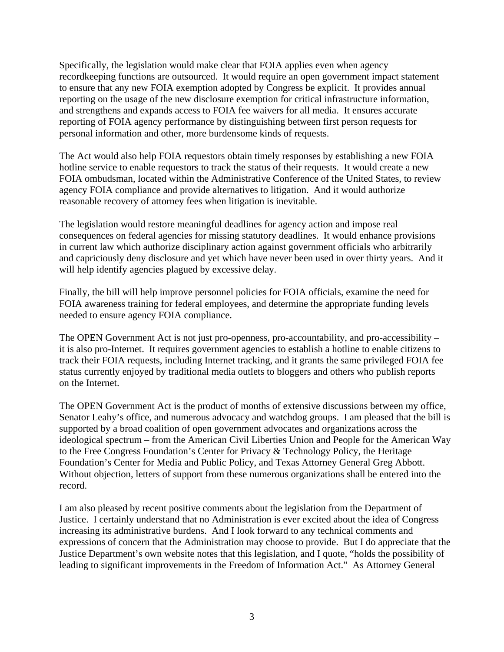Specifically, the legislation would make clear that FOIA applies even when agency recordkeeping functions are outsourced. It would require an open government impact statement to ensure that any new FOIA exemption adopted by Congress be explicit. It provides annual reporting on the usage of the new disclosure exemption for critical infrastructure information, and strengthens and expands access to FOIA fee waivers for all media. It ensures accurate reporting of FOIA agency performance by distinguishing between first person requests for personal information and other, more burdensome kinds of requests.

The Act would also help FOIA requestors obtain timely responses by establishing a new FOIA hotline service to enable requestors to track the status of their requests. It would create a new FOIA ombudsman, located within the Administrative Conference of the United States, to review agency FOIA compliance and provide alternatives to litigation. And it would authorize reasonable recovery of attorney fees when litigation is inevitable.

The legislation would restore meaningful deadlines for agency action and impose real consequences on federal agencies for missing statutory deadlines. It would enhance provisions in current law which authorize disciplinary action against government officials who arbitrarily and capriciously deny disclosure and yet which have never been used in over thirty years. And it will help identify agencies plagued by excessive delay.

Finally, the bill will help improve personnel policies for FOIA officials, examine the need for FOIA awareness training for federal employees, and determine the appropriate funding levels needed to ensure agency FOIA compliance.

The OPEN Government Act is not just pro-openness, pro-accountability, and pro-accessibility – it is also pro-Internet. It requires government agencies to establish a hotline to enable citizens to track their FOIA requests, including Internet tracking, and it grants the same privileged FOIA fee status currently enjoyed by traditional media outlets to bloggers and others who publish reports on the Internet.

The OPEN Government Act is the product of months of extensive discussions between my office, Senator Leahy's office, and numerous advocacy and watchdog groups. I am pleased that the bill is supported by a broad coalition of open government advocates and organizations across the ideological spectrum – from the American Civil Liberties Union and People for the American Way to the Free Congress Foundation's Center for Privacy & Technology Policy, the Heritage Foundation's Center for Media and Public Policy, and Texas Attorney General Greg Abbott. Without objection, letters of support from these numerous organizations shall be entered into the record.

I am also pleased by recent positive comments about the legislation from the Department of Justice. I certainly understand that no Administration is ever excited about the idea of Congress increasing its administrative burdens. And I look forward to any technical comments and expressions of concern that the Administration may choose to provide. But I do appreciate that the Justice Department's own website notes that this legislation, and I quote, "holds the possibility of leading to significant improvements in the Freedom of Information Act." As Attorney General